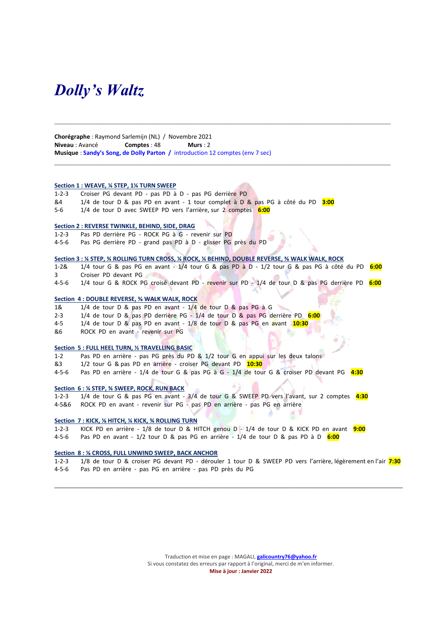## Dolly's Waltz

Chorégraphe : Raymond Sarlemijn (NL) / Novembre 2021 Niveau : Avancé Comptes : 48 Murs : 2 Musique : Sandy's Song, de Dolly Parton / introduction 12 comptes (env 7 sec)

#### Section 1 : WEAVE, % STEP, 1% TURN SWEEP

1-2-3 Croiser PG devant PD - pas PD à D - pas PG derrière PD

- &4 1/4 de tour D & pas PD en avant 1 tour complet à D & pas PG à côté du PD 3:00
- 5-6 1/4 de tour D avec SWEEP PD vers l'arrière, sur 2 comptes 6:00

#### Section 2 : REVERSE TWINKLE, BEHIND, SIDE, DRAG

1-2-3 Pas PD derrière PG - ROCK PG à G - revenir sur PD

4-5-6 Pas PG derrière PD - grand pas PD à D - glisser PG près du PD

#### Section 3 : ¼ STEP, ¾ ROLLING TURN CROSS, ¼ ROCK, ¼ BEHIND, DOUBLE REVERSE, ⅜ WALK WALK, ROCK

1-2& 1/4 tour G & pas PG en avant  $-1/4$  tour G & pas PD à D - 1/2 tour G & pas PG à côté du PD  $6:00$ 3 Croiser PD devant PG

 $\mathcal{L}_\mathcal{L} = \{ \mathcal{L}_\mathcal{L} = \{ \mathcal{L}_\mathcal{L} = \{ \mathcal{L}_\mathcal{L} = \{ \mathcal{L}_\mathcal{L} = \{ \mathcal{L}_\mathcal{L} = \{ \mathcal{L}_\mathcal{L} = \{ \mathcal{L}_\mathcal{L} = \{ \mathcal{L}_\mathcal{L} = \{ \mathcal{L}_\mathcal{L} = \{ \mathcal{L}_\mathcal{L} = \{ \mathcal{L}_\mathcal{L} = \{ \mathcal{L}_\mathcal{L} = \{ \mathcal{L}_\mathcal{L} = \{ \mathcal{L}_\mathcal{$ 

4-5-6 1/4 tour G & ROCK PG croisé devant PD - revenir sur PD - 1/4 de tour D & pas PG derrière PD 6:00

#### Section 4 : DOUBLE REVERSE, 3/8 WALK WALK, ROCK

- 1& 1/4 de tour D & pas PD en avant 1/4 de tour D & pas PG à G
- 2-3 1/4 de tour D & pas PD derrière PG 1/4 de tour D & pas PG derrière PD 6:00
- 4-5  $1/4$  de tour D & pas PD en avant  $1/8$  de tour D & pas PG en avant  $10:30$
- &6 ROCK PD en avant revenir sur PG

#### Section 5 : FULL HEEL TURN, ½ TRAVELLING BASIC

- 1-2 Pas PD en arrière pas PG près du PD & 1/2 tour G en appui sur les deux talons
- &3 1/2 tour G & pas PD en arrière croiser PG devant PD 10:30
- 4-5-6 Pas PD en arrière 1/4 de tour G & pas PG à G 1/4 de tour G & croiser PD devant PG 4:30

#### Section 6 : ¼ STEP, ¾ SWEEP, ROCK, RUN BACK

1-2-3 1/4 de tour G & pas PG en avant - 3/4 de tour G & SWEEP PD vers l'avant, sur 2 comptes 4:30

4-5&6 ROCK PD en avant - revenir sur PG - pas PD en arrière - pas PG en arrière

#### Section 7 : KICK, ⅛ HITCH, ¼ KICK, ¾ ROLLING TURN

- 1-2-3 KICK PD en arrière 1/8 de tour D & HITCH genou D 1/4 de tour D & KICK PD en avant 9:00
- 4-5-6 Pas PD en avant 1/2 tour D & pas PG en arrière 1/4 de tour D & pas PD à D 6:00

#### Section 8 : ⅛ CROSS, FULL UNWIND SWEEP, BACK ANCHOR

1-2-3 1/8 de tour D & croiser PG devant PD - dérouler 1 tour D & SWEEP PD vers l'arrière, légèrement en l'air 7:30 4-5-6 Pas PD en arrière - pas PG en arrière - pas PD près du PG

\_\_\_\_\_\_\_\_\_\_\_\_\_\_\_\_\_\_\_\_\_\_\_\_\_\_\_\_\_\_\_\_\_\_\_\_\_\_\_\_\_\_\_\_\_\_\_\_\_\_\_\_\_\_\_\_\_\_\_\_\_\_\_\_\_\_\_\_\_\_\_\_\_\_\_\_\_\_\_\_\_\_\_\_\_\_\_\_\_\_\_\_\_\_\_\_\_\_\_\_\_\_\_\_\_\_